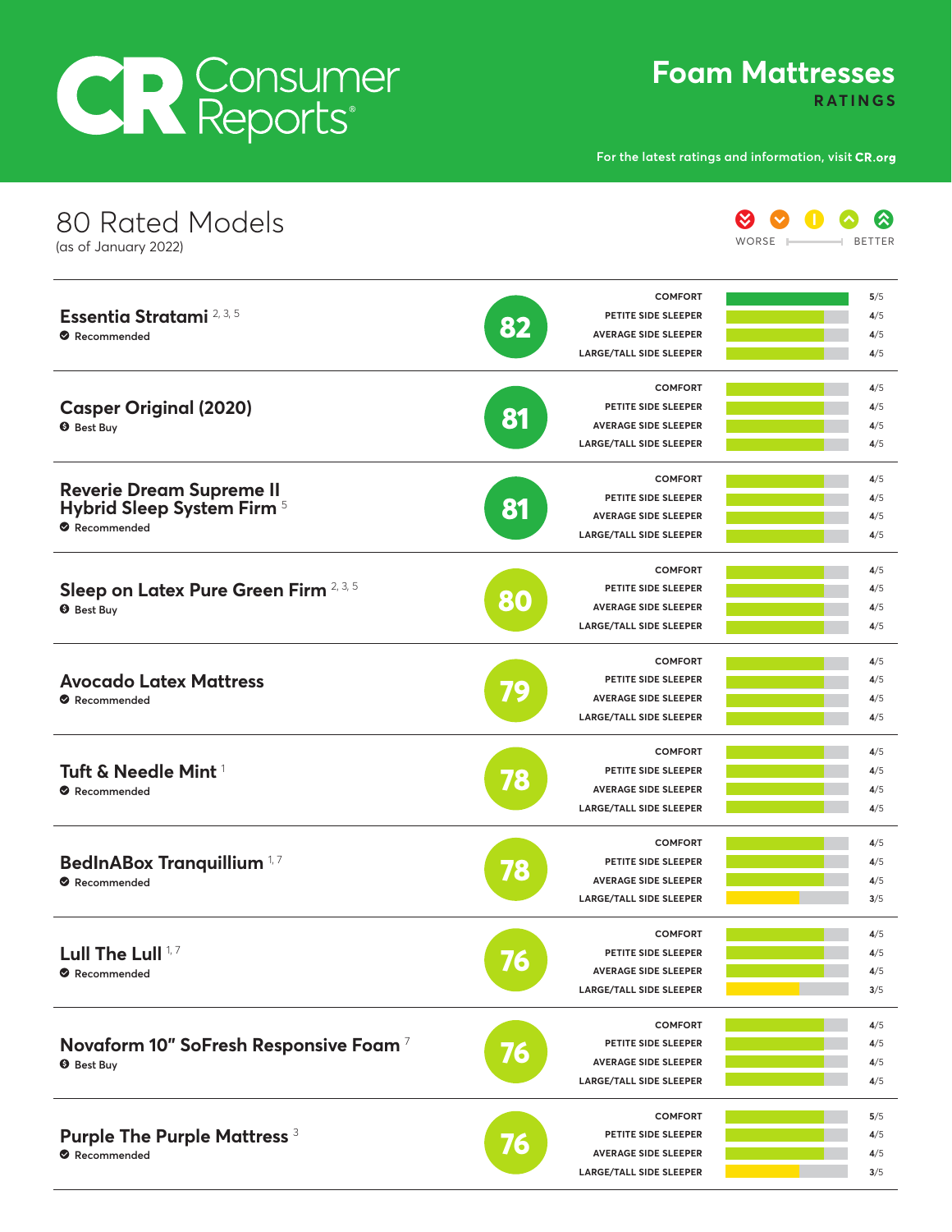# CR Consumer

**Foam Mattresses**

**RATINGS**

**For the latest ratings and information, visit**

| 80 Rated Models<br>(as of January 2022)                                      |                                                                                            | WORSE<br><b>BETTER</b>                     |
|------------------------------------------------------------------------------|--------------------------------------------------------------------------------------------|--------------------------------------------|
| Essentia Stratami <sup>2, 3, 5</sup><br>Recommended                          | PETITE SIDE SLEEPER<br>82<br><b>AVERAGE SIDE SLEEPER</b><br><b>LARGE/TALL SIDE SLEEPER</b> | <b>COMFORT</b><br>5/5<br>4/5<br>4/5<br>4/5 |
| <b>Casper Original (2020)</b><br><b>O</b> Best Buy                           | PETITE SIDE SLEEPER<br>81<br><b>AVERAGE SIDE SLEEPER</b><br><b>LARGE/TALL SIDE SLEEPER</b> | <b>COMFORT</b><br>4/5<br>4/5<br>4/5<br>4/5 |
| <b>Reverie Dream Supreme II</b><br>Hybrid Sleep System Firm 5<br>Recommended | PETITE SIDE SLEEPER<br>81<br><b>AVERAGE SIDE SLEEPER</b><br><b>LARGE/TALL SIDE SLEEPER</b> | <b>COMFORT</b><br>4/5<br>4/5<br>4/5<br>4/5 |
| Sleep on Latex Pure Green Firm 2, 3, 5<br><b>O</b> Best Buy                  | PETITE SIDE SLEEPER<br>80<br><b>AVERAGE SIDE SLEEPER</b><br><b>LARGE/TALL SIDE SLEEPER</b> | <b>COMFORT</b><br>4/5<br>4/5<br>4/5<br>4/5 |
| <b>Avocado Latex Mattress</b><br>Recommended                                 | PETITE SIDE SLEEPER<br>79<br><b>AVERAGE SIDE SLEEPER</b><br><b>LARGE/TALL SIDE SLEEPER</b> | <b>COMFORT</b><br>4/5<br>4/5<br>4/5<br>4/5 |
| Tuft & Needle Mint <sup>1</sup><br>Recommended                               | PETITE SIDE SLEEPER<br>78<br><b>AVERAGE SIDE SLEEPER</b><br><b>LARGE/TALL SIDE SLEEPER</b> | <b>COMFORT</b><br>4/5<br>4/5<br>4/5<br>4/5 |
| BedInABox Tranquillium <sup>1,7</sup><br>Recommended                         | PETITE SIDE SLEEPER<br>78<br><b>AVERAGE SIDE SLEEPER</b><br><b>LARGE/TALL SIDE SLEEPER</b> | <b>COMFORT</b><br>4/5<br>4/5<br>4/5<br>3/5 |
| Lull The Lull <sup>17</sup><br>Recommended                                   | PETITE SIDE SLEEPER<br>76<br><b>AVERAGE SIDE SLEEPER</b><br><b>LARGE/TALL SIDE SLEEPER</b> | <b>COMFORT</b><br>4/5<br>4/5<br>4/5<br>3/5 |
| Novaform 10" SoFresh Responsive Foam <sup>7</sup><br><b>O</b> Best Buy       | PETITE SIDE SLEEPER<br>76<br><b>AVERAGE SIDE SLEEPER</b><br><b>LARGE/TALL SIDE SLEEPER</b> | <b>COMFORT</b><br>4/5<br>4/5<br>4/5<br>4/5 |
| <b>Purple The Purple Mattress 3</b><br>Recommended                           | PETITE SIDE SLEEPER<br><b>AVERAGE SIDE SLEEPER</b><br><b>LARGE/TALL SIDE SLEEPER</b>       | <b>COMFORT</b><br>5/5<br>4/5<br>4/5<br>3/5 |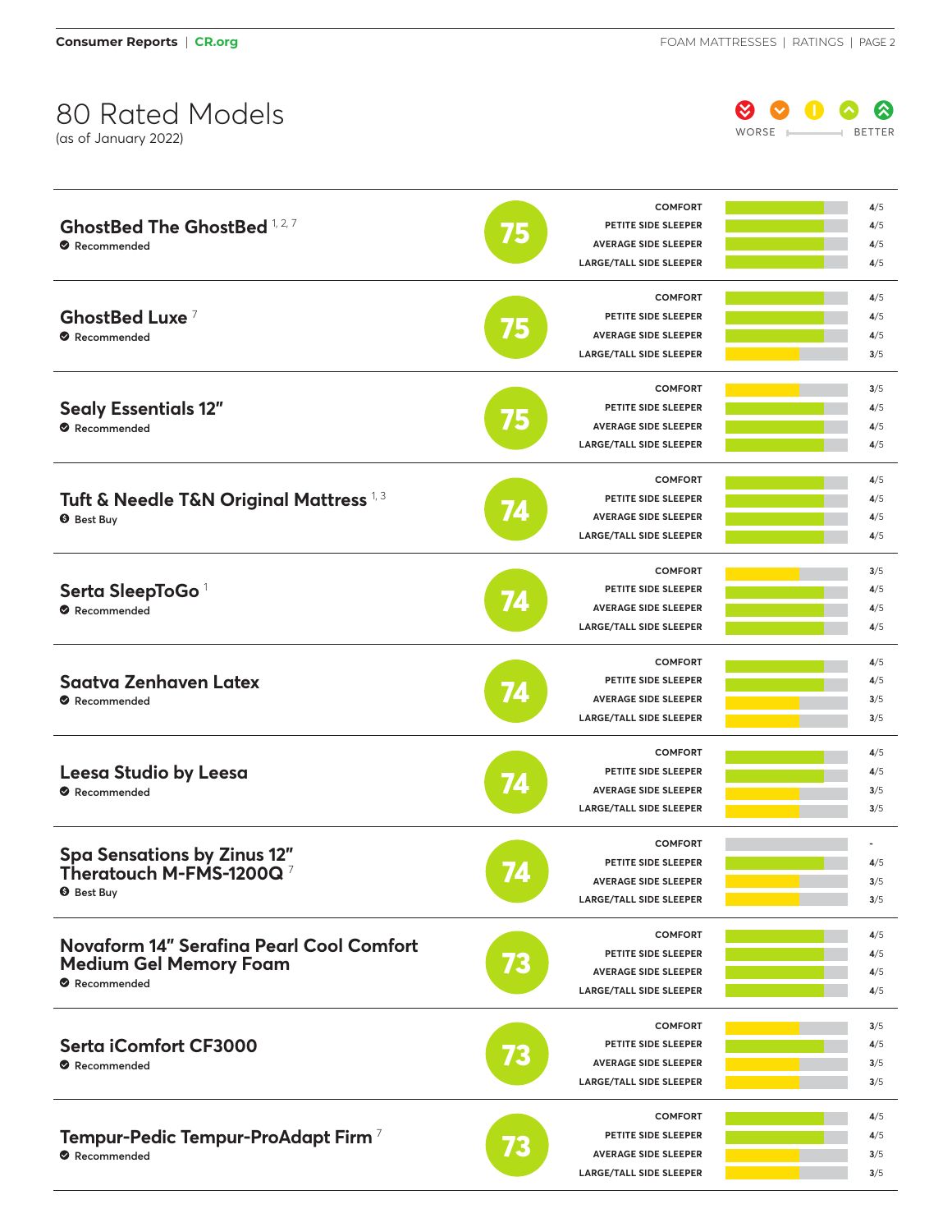

|                                                    |    | <b>COMFORT</b>                 | 4/5 |
|----------------------------------------------------|----|--------------------------------|-----|
| <b>GhostBed The GhostBed 1,2,7</b>                 | 75 | PETITE SIDE SLEEPER            | 4/5 |
| Recommended                                        |    | <b>AVERAGE SIDE SLEEPER</b>    | 4/5 |
|                                                    |    | <b>LARGE/TALL SIDE SLEEPER</b> | 4/5 |
|                                                    |    | <b>COMFORT</b>                 | 4/5 |
| GhostBed Luxe <sup>7</sup>                         |    | PETITE SIDE SLEEPER            | 4/5 |
| Recommended                                        | 75 | <b>AVERAGE SIDE SLEEPER</b>    | 4/5 |
|                                                    |    | <b>LARGE/TALL SIDE SLEEPER</b> | 3/5 |
|                                                    |    | <b>COMFORT</b>                 | 3/5 |
| <b>Sealy Essentials 12"</b>                        |    | PETITE SIDE SLEEPER            | 4/5 |
| Recommended                                        | 75 | <b>AVERAGE SIDE SLEEPER</b>    | 4/5 |
|                                                    |    | <b>LARGE/TALL SIDE SLEEPER</b> | 4/5 |
|                                                    |    | <b>COMFORT</b>                 | 4/5 |
|                                                    |    | PETITE SIDE SLEEPER            | 4/5 |
| Tuft & Needle T&N Original Mattress <sup>1,3</sup> | 74 | <b>AVERAGE SIDE SLEEPER</b>    |     |
| <b>O</b> Best Buy                                  |    |                                | 4/5 |
|                                                    |    | <b>LARGE/TALL SIDE SLEEPER</b> | 4/5 |
|                                                    |    | <b>COMFORT</b>                 | 3/5 |
| Serta SleepToGo <sup>1</sup>                       |    | PETITE SIDE SLEEPER            | 4/5 |
| Recommended                                        | 74 | <b>AVERAGE SIDE SLEEPER</b>    | 4/5 |
|                                                    |    | <b>LARGE/TALL SIDE SLEEPER</b> | 4/5 |
|                                                    | 74 | <b>COMFORT</b>                 | 4/5 |
| <b>Saatva Zenhaven Latex</b>                       |    | PETITE SIDE SLEEPER            | 4/5 |
| Recommended                                        |    | <b>AVERAGE SIDE SLEEPER</b>    | 3/5 |
|                                                    |    | <b>LARGE/TALL SIDE SLEEPER</b> | 3/5 |
|                                                    |    | <b>COMFORT</b>                 | 4/5 |
|                                                    |    | PETITE SIDE SLEEPER            | 4/5 |
| Leesa Studio by Leesa<br>Recommended               | 74 | <b>AVERAGE SIDE SLEEPER</b>    | 3/5 |
|                                                    |    | <b>LARGE/TALL SIDE SLEEPER</b> | 3/5 |
|                                                    |    | <b>COMFORT</b>                 |     |
| <b>Spa Sensations by Zinus 12"</b>                 |    | PETITE SIDE SLEEPER            | 4/5 |
| Theratouch M-FMS-1200Q $^7$                        | 77 | <b>AVERAGE SIDE SLEEPER</b>    |     |
| <b>O</b> Best Buy                                  |    |                                | 3/5 |
|                                                    |    | <b>LARGE/TALL SIDE SLEEPER</b> | 3/5 |
| <b>Novaform 14" Serafina Pearl Cool Comfort</b>    |    | <b>COMFORT</b>                 | 4/5 |
|                                                    |    | PETITE SIDE SLEEPER            | 4/5 |
| <b>Medium Gel Memory Foam</b>                      | 73 | <b>AVERAGE SIDE SLEEPER</b>    | 4/5 |
| Recommended                                        |    | <b>LARGE/TALL SIDE SLEEPER</b> | 4/5 |
|                                                    |    | <b>COMFORT</b>                 | 3/5 |
| Serta iComfort CF3000                              |    | PETITE SIDE SLEEPER            | 4/5 |
| Recommended                                        | 73 | <b>AVERAGE SIDE SLEEPER</b>    | 3/5 |
|                                                    |    | <b>LARGE/TALL SIDE SLEEPER</b> | 3/5 |
|                                                    |    | <b>COMFORT</b>                 | 4/5 |
| Tempur-Pedic Tempur-ProAdapt Firm <sup>7</sup>     |    | PETITE SIDE SLEEPER            | 4/5 |
| Recommended                                        | 73 | <b>AVERAGE SIDE SLEEPER</b>    | 3/5 |
|                                                    |    | <b>LARGE/TALL SIDE SLEEPER</b> | 3/5 |
|                                                    |    |                                |     |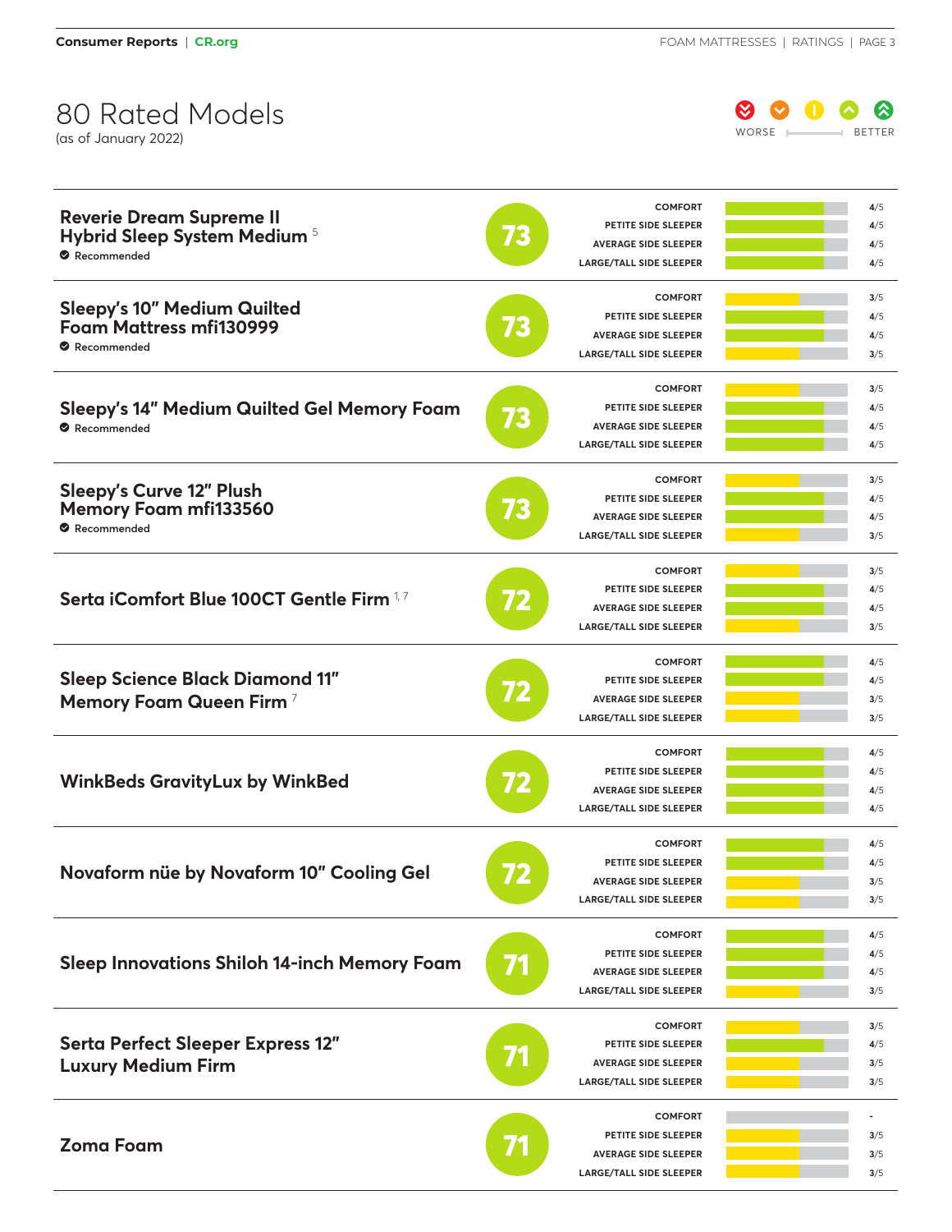(as of January 2022)

 $\begin{array}{ccc} \circ & \circ & \circ & \circ \end{array}$ WORSE **BETTER** 

| <b>Reverie Dream Supreme II</b><br>Hybrid Sleep System Medium 5<br>Recommended      | 73 | <b>COMFORT</b><br>PETITE SIDE SLEEPER<br><b>AVERAGE SIDE SLEEPER</b><br><b>LARGE/TALL SIDE SLEEPER</b>        | 4/5<br>4/5<br>4/5<br>4/5 |
|-------------------------------------------------------------------------------------|----|---------------------------------------------------------------------------------------------------------------|--------------------------|
| <b>Sleepy's 10" Medium Quilted</b><br><b>Foam Mattress mfi130999</b><br>Recommended | 73 | <b>COMFORT</b><br>PETITE SIDE SLEEPER<br><b>AVERAGE SIDE SLEEPER</b><br><b>LARGE/TALL SIDE SLEEPER</b>        | 3/5<br>4/5<br>4/5<br>3/5 |
| Sleepy's 14" Medium Quilted Gel Memory Foam<br>Recommended                          | 73 | <b>COMFORT</b><br>PETITE SIDE SLEEPER<br><b>AVERAGE SIDE SLEEPER</b><br><b>LARGE/TALL SIDE SLEEPER</b>        | 3/5<br>4/5<br>4/5<br>4/5 |
| <b>Sleepy's Curve 12" Plush</b><br><b>Memory Foam mfi133560</b><br>Recommended      | 73 | <b>COMFORT</b><br><b>PETITE SIDE SLEEPER</b><br><b>AVERAGE SIDE SLEEPER</b><br><b>LARGE/TALL SIDE SLEEPER</b> | 3/5<br>4/5<br>4/5<br>3/5 |
| Serta iComfort Blue 100CT Gentle Firm 1,7                                           | 72 | <b>COMFORT</b><br>PETITE SIDE SLEEPER<br><b>AVERAGE SIDE SLEEPER</b><br><b>LARGE/TALL SIDE SLEEPER</b>        | 3/5<br>4/5<br>4/5<br>3/5 |
| <b>Sleep Science Black Diamond 11"</b><br>Memory Foam Queen Firm <sup>7</sup>       | 72 | <b>COMFORT</b><br>PETITE SIDE SLEEPER<br><b>AVERAGE SIDE SLEEPER</b><br><b>LARGE/TALL SIDE SLEEPER</b>        | 4/5<br>4/5<br>3/5<br>3/5 |
| <b>WinkBeds GravityLux by WinkBed</b>                                               | 72 | <b>COMFORT</b><br>PETITE SIDE SLEEPER<br><b>AVERAGE SIDE SLEEPER</b><br><b>LARGE/TALL SIDE SLEEPER</b>        | 4/5<br>4/5<br>4/5<br>4/5 |
| Novaform nüe by Novaform 10" Cooling Gel                                            |    | <b>COMFORT</b><br>PETITE SIDE SLEEPER<br><b>AVERAGE SIDE SLEEPER</b><br><b>LARGE/TALL SIDE SLEEPER</b>        | 4/5<br>4/5<br>3/5<br>3/5 |
| <b>Sleep Innovations Shiloh 14-inch Memory Foam</b>                                 | 71 | <b>COMFORT</b><br>PETITE SIDE SLEEPER<br><b>AVERAGE SIDE SLEEPER</b><br><b>LARGE/TALL SIDE SLEEPER</b>        | 4/5<br>4/5<br>4/5<br>3/5 |
| Serta Perfect Sleeper Express 12"<br><b>Luxury Medium Firm</b>                      |    | <b>COMFORT</b><br>PETITE SIDE SLEEPER<br><b>AVERAGE SIDE SLEEPER</b><br><b>LARGE/TALL SIDE SLEEPER</b>        | 3/5<br>4/5<br>3/5<br>3/5 |
| <b>Zoma Foam</b>                                                                    |    | <b>COMFORT</b><br>PETITE SIDE SLEEPER<br><b>AVERAGE SIDE SLEEPER</b><br><b>LARGE/TALL SIDE SLEEPER</b>        | 3/5<br>3/5<br>3/5        |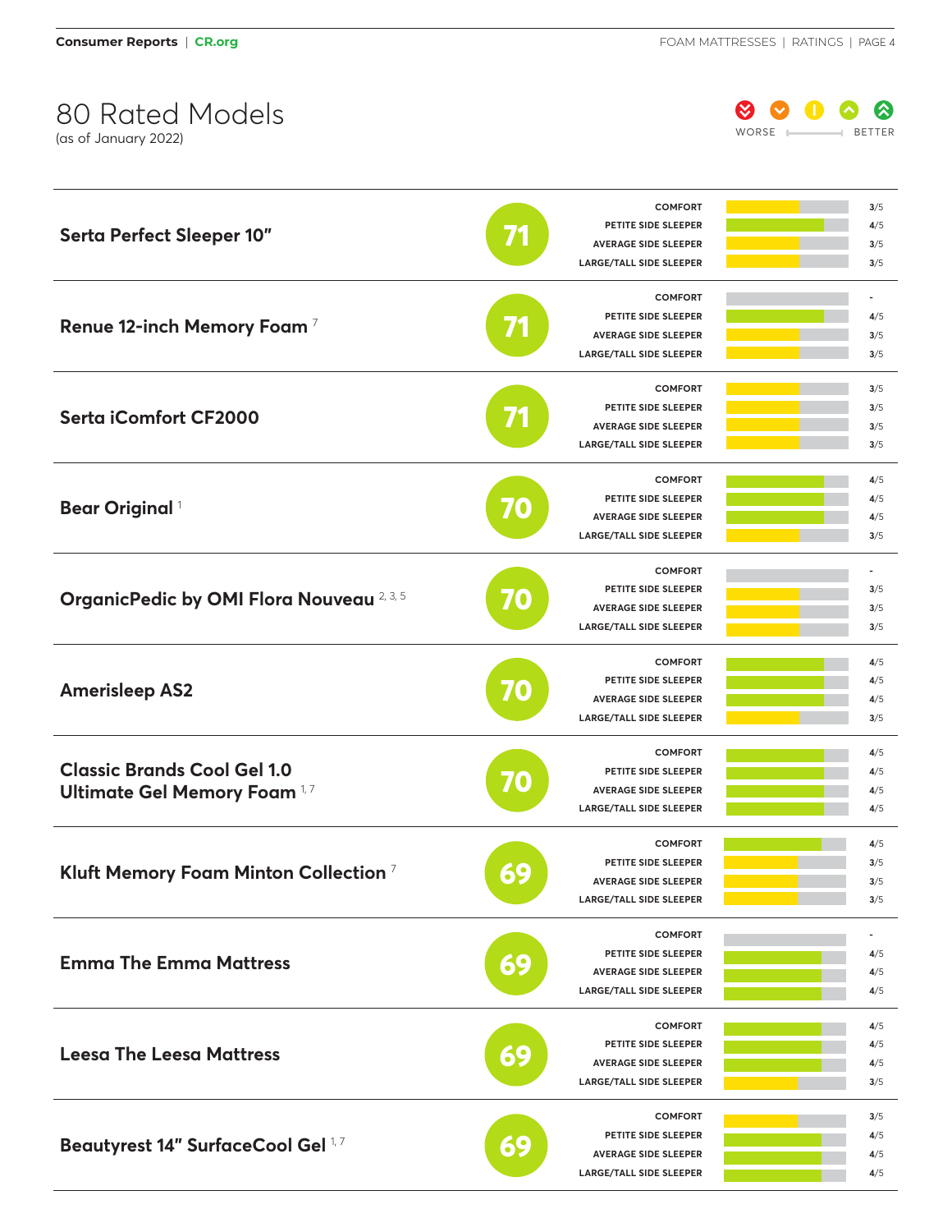

| <b>Serta Perfect Sleeper 10"</b>                 |    | <b>COMFORT</b>                        | 3/5                      |
|--------------------------------------------------|----|---------------------------------------|--------------------------|
|                                                  |    | PETITE SIDE SLEEPER                   | 4/5                      |
|                                                  |    | <b>AVERAGE SIDE SLEEPER</b>           | 3/5                      |
|                                                  |    | <b>LARGE/TALL SIDE SLEEPER</b>        | 3/5                      |
|                                                  |    | <b>COMFORT</b>                        | $\overline{\phantom{a}}$ |
|                                                  |    | PETITE SIDE SLEEPER                   | 4/5                      |
| Renue 12-inch Memory Foam <sup>7</sup>           | 71 | <b>AVERAGE SIDE SLEEPER</b>           | 3/5                      |
|                                                  |    | <b>LARGE/TALL SIDE SLEEPER</b>        | 3/5                      |
|                                                  |    | <b>COMFORT</b>                        | 3/5                      |
|                                                  |    | PETITE SIDE SLEEPER                   | 3/5                      |
| <b>Serta iComfort CF2000</b>                     | 71 | <b>AVERAGE SIDE SLEEPER</b>           | 3/5                      |
|                                                  |    | <b>LARGE/TALL SIDE SLEEPER</b>        | 3/5                      |
|                                                  |    | <b>COMFORT</b>                        | 4/5                      |
|                                                  |    | PETITE SIDE SLEEPER                   | 4/5                      |
| <b>Bear Original</b> <sup>1</sup>                | 70 | <b>AVERAGE SIDE SLEEPER</b>           | 4/5                      |
|                                                  |    | <b>LARGE/TALL SIDE SLEEPER</b>        | 3/5                      |
|                                                  |    | <b>COMFORT</b>                        |                          |
|                                                  |    | PETITE SIDE SLEEPER                   | 3/5                      |
| OrganicPedic by OMI Flora Nouveau 2, 3, 5        | 70 | <b>AVERAGE SIDE SLEEPER</b>           | 3/5                      |
|                                                  |    | <b>LARGE/TALL SIDE SLEEPER</b>        | 3/5                      |
|                                                  |    |                                       |                          |
|                                                  | 70 | <b>COMFORT</b><br>PETITE SIDE SLEEPER | 4/5                      |
| <b>Amerisleep AS2</b>                            |    | <b>AVERAGE SIDE SLEEPER</b>           | 4/5                      |
|                                                  |    |                                       | 4/5                      |
|                                                  |    | <b>LARGE/TALL SIDE SLEEPER</b>        | 3/5                      |
|                                                  | 70 | <b>COMFORT</b>                        | 4/5                      |
| <b>Classic Brands Cool Gel 1.0</b>               |    | PETITE SIDE SLEEPER                   | 4/5                      |
| <b>Ultimate Gel Memory Foam 1,7</b>              |    | <b>AVERAGE SIDE SLEEPER</b>           | 4/5                      |
|                                                  |    | <b>LARGE/TALL SIDE SLEEPER</b>        | 4/5                      |
|                                                  | 69 | <b>COMFORT</b>                        | 4/5                      |
| Kluft Memory Foam Minton Collection <sup>7</sup> |    | PETITE SIDE SLEEPER                   | 3/5                      |
|                                                  |    | <b>AVERAGE SIDE SLEEPER</b>           | 3/5                      |
|                                                  |    | <b>LARGE/TALL SIDE SLEEPER</b>        | 3/5                      |
|                                                  |    | <b>COMFORT</b>                        |                          |
|                                                  |    | PETITE SIDE SLEEPER                   | 4/5                      |
| <b>Emma The Emma Mattress</b>                    | 69 | <b>AVERAGE SIDE SLEEPER</b>           | 4/5                      |
|                                                  |    | <b>LARGE/TALL SIDE SLEEPER</b>        | 4/5                      |
|                                                  |    | <b>COMFORT</b>                        | 4/5                      |
|                                                  |    | PETITE SIDE SLEEPER                   | 4/5                      |
| <b>Leesa The Leesa Mattress</b>                  | 69 | <b>AVERAGE SIDE SLEEPER</b>           | 4/5                      |
|                                                  |    | <b>LARGE/TALL SIDE SLEEPER</b>        | 3/5                      |
|                                                  |    | <b>COMFORT</b>                        | 3/5                      |
|                                                  |    | PETITE SIDE SLEEPER                   | 4/5                      |
| Beautyrest 14" SurfaceCool Gel 1,7               | 69 | <b>AVERAGE SIDE SLEEPER</b>           | 4/5                      |
|                                                  |    | LARGE/TALL SIDE SLEEPER               | 4/5                      |
|                                                  |    |                                       |                          |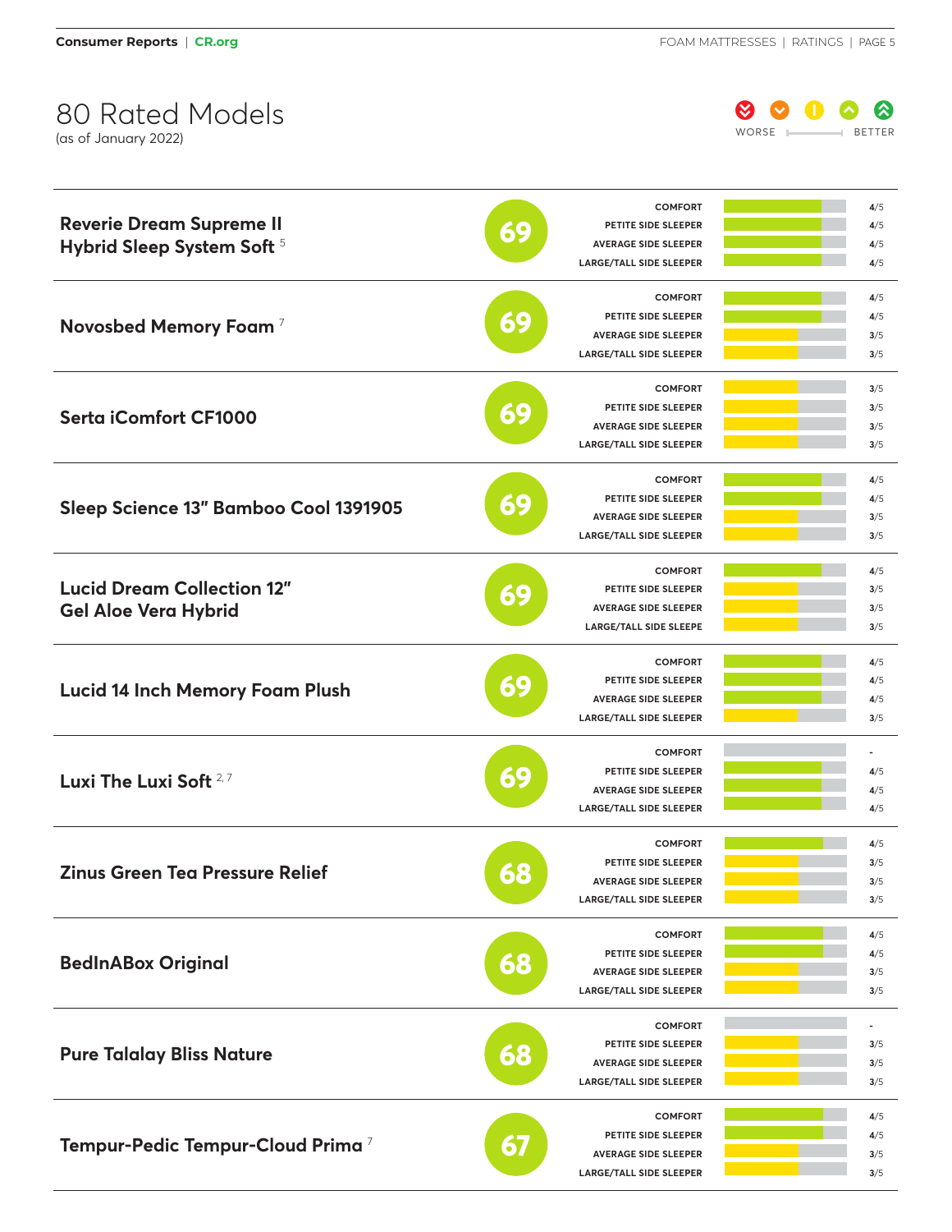

| <b>Reverie Dream Supreme II</b>              |    | <b>COMFORT</b>                        | 4/5 |
|----------------------------------------------|----|---------------------------------------|-----|
|                                              |    | PETITE SIDE SLEEPER                   | 4/5 |
| Hybrid Sleep System Soft 5                   | 69 | <b>AVERAGE SIDE SLEEPER</b>           | 4/5 |
|                                              |    | <b>LARGE/TALL SIDE SLEEPER</b>        | 4/5 |
|                                              |    | <b>COMFORT</b>                        | 4/5 |
|                                              |    | PETITE SIDE SLEEPER                   | 4/5 |
| Novosbed Memory Foam <sup>7</sup>            | 69 | <b>AVERAGE SIDE SLEEPER</b>           | 3/5 |
|                                              |    | <b>LARGE/TALL SIDE SLEEPER</b>        | 3/5 |
|                                              |    | <b>COMFORT</b>                        | 3/5 |
|                                              |    | PETITE SIDE SLEEPER                   | 3/5 |
| <b>Serta iComfort CF1000</b>                 | 69 |                                       |     |
|                                              |    | <b>AVERAGE SIDE SLEEPER</b>           | 3/5 |
|                                              |    | <b>LARGE/TALL SIDE SLEEPER</b>        | 3/5 |
|                                              |    | <b>COMFORT</b>                        | 4/5 |
|                                              | 69 | PETITE SIDE SLEEPER                   | 4/5 |
| Sleep Science 13" Bamboo Cool 1391905        |    | <b>AVERAGE SIDE SLEEPER</b>           | 3/5 |
|                                              |    | <b>LARGE/TALL SIDE SLEEPER</b>        | 3/5 |
|                                              |    | <b>COMFORT</b>                        | 4/5 |
| <b>Lucid Dream Collection 12"</b>            |    | PETITE SIDE SLEEPER                   | 3/5 |
| <b>Gel Aloe Vera Hybrid</b>                  | 69 | <b>AVERAGE SIDE SLEEPER</b>           | 3/5 |
|                                              |    | <b>LARGE/TALL SIDE SLEEPE</b>         | 3/5 |
|                                              |    |                                       |     |
|                                              | 69 | <b>COMFORT</b><br>PETITE SIDE SLEEPER | 4/5 |
| <b>Lucid 14 Inch Memory Foam Plush</b>       |    |                                       | 4/5 |
|                                              |    | <b>AVERAGE SIDE SLEEPER</b>           | 4/5 |
|                                              |    | <b>LARGE/TALL SIDE SLEEPER</b>        | 3/5 |
|                                              |    | <b>COMFORT</b>                        |     |
| Luxi The Luxi Soft <sup>2,7</sup>            | 69 | PETITE SIDE SLEEPER                   | 4/5 |
|                                              |    | <b>AVERAGE SIDE SLEEPER</b>           | 4/5 |
|                                              |    | <b>LARGE/TALL SIDE SLEEPER</b>        | 4/5 |
|                                              |    | <b>COMFORT</b>                        | 4/5 |
|                                              |    | PETITE SIDE SLEEPER                   | 3/5 |
| <b>Zinus Green Tea Pressure Relief</b>       | 68 | <b>AVERAGE SIDE SLEEPER</b>           | 3/5 |
|                                              |    | <b>LARGE/TALL SIDE SLEEPER</b>        | 3/5 |
|                                              |    | <b>COMFORT</b>                        | 4/5 |
|                                              |    | PETITE SIDE SLEEPER                   | 4/5 |
| <b>BedInABox Original</b>                    | 68 | <b>AVERAGE SIDE SLEEPER</b>           | 3/5 |
|                                              |    | <b>LARGE/TALL SIDE SLEEPER</b>        | 3/5 |
|                                              |    |                                       |     |
|                                              |    | <b>COMFORT</b>                        |     |
| <b>Pure Talalay Bliss Nature</b>             | 68 | PETITE SIDE SLEEPER                   | 3/5 |
|                                              |    | <b>AVERAGE SIDE SLEEPER</b>           | 3/5 |
|                                              |    | <b>LARGE/TALL SIDE SLEEPER</b>        | 3/5 |
|                                              |    | <b>COMFORT</b>                        | 4/5 |
| Tempur-Pedic Tempur-Cloud Prima <sup>7</sup> | 67 | PETITE SIDE SLEEPER                   | 4/5 |
|                                              |    | <b>AVERAGE SIDE SLEEPER</b>           | 3/5 |
|                                              |    | <b>LARGE/TALL SIDE SLEEPER</b>        | 3/5 |
|                                              |    |                                       |     |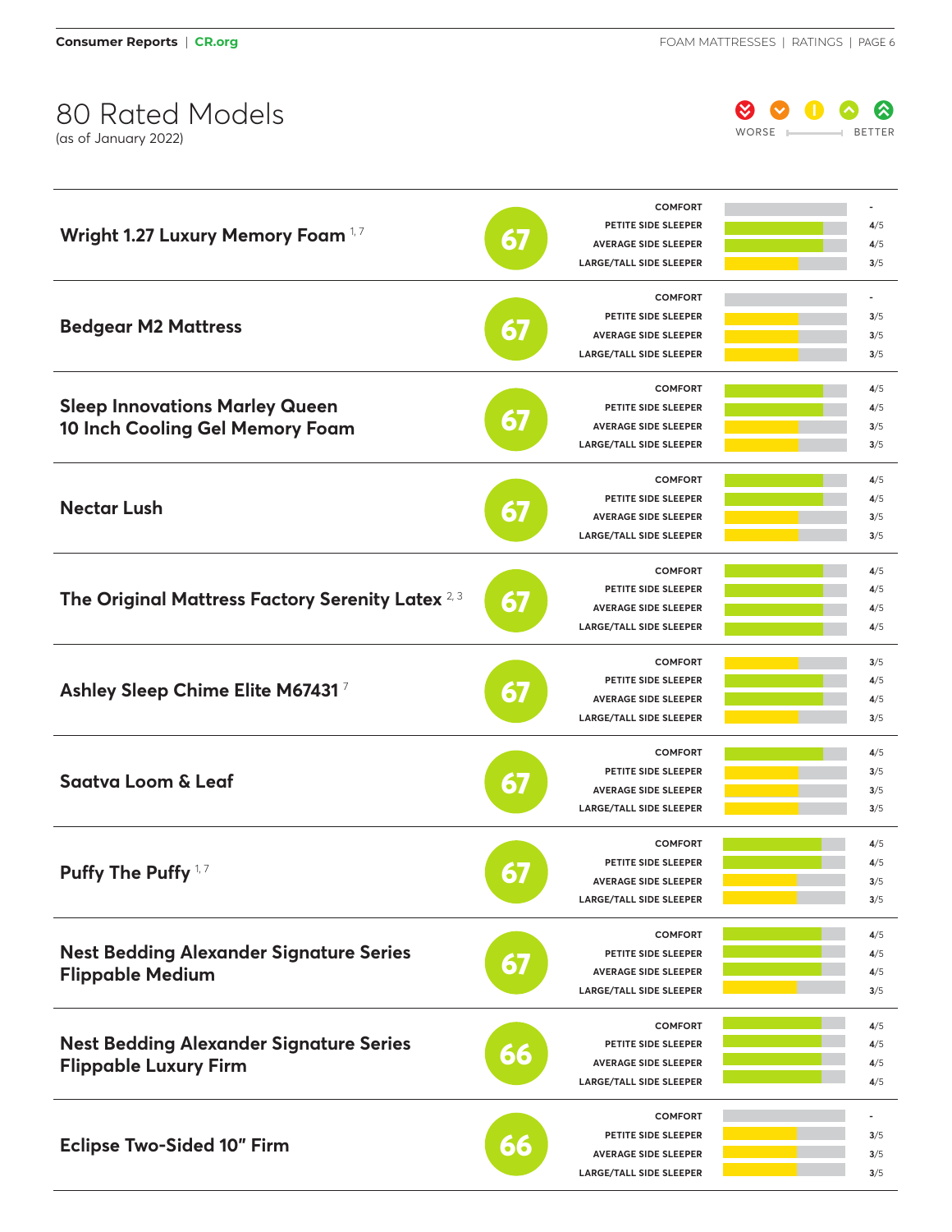

|                                                             |    | <b>COMFORT</b>                        |                          |
|-------------------------------------------------------------|----|---------------------------------------|--------------------------|
|                                                             |    | PETITE SIDE SLEEPER                   | 4/5                      |
| Wright 1.27 Luxury Memory Foam 1.7                          | 67 | <b>AVERAGE SIDE SLEEPER</b>           | 4/5                      |
|                                                             |    | <b>LARGE/TALL SIDE SLEEPER</b>        | 3/5                      |
|                                                             |    | <b>COMFORT</b>                        |                          |
|                                                             |    | PETITE SIDE SLEEPER                   | 3/5                      |
| <b>Bedgear M2 Mattress</b>                                  | 67 | <b>AVERAGE SIDE SLEEPER</b>           | 3/5                      |
|                                                             |    | <b>LARGE/TALL SIDE SLEEPER</b>        | 3/5                      |
|                                                             |    | <b>COMFORT</b>                        | 4/5                      |
| <b>Sleep Innovations Marley Queen</b>                       |    | PETITE SIDE SLEEPER                   | 4/5                      |
|                                                             | 67 |                                       |                          |
| 10 Inch Cooling Gel Memory Foam                             |    | <b>AVERAGE SIDE SLEEPER</b>           | 3/5                      |
|                                                             |    | <b>LARGE/TALL SIDE SLEEPER</b>        | 3/5                      |
|                                                             |    | <b>COMFORT</b>                        | 4/5                      |
| <b>Nectar Lush</b>                                          |    | PETITE SIDE SLEEPER                   | 4/5                      |
|                                                             | 67 | <b>AVERAGE SIDE SLEEPER</b>           | 3/5                      |
|                                                             |    | <b>LARGE/TALL SIDE SLEEPER</b>        | 3/5                      |
|                                                             |    | <b>COMFORT</b>                        | 4/5                      |
|                                                             |    | PETITE SIDE SLEEPER                   | 4/5                      |
| The Original Mattress Factory Serenity Latex <sup>2,3</sup> | 67 | <b>AVERAGE SIDE SLEEPER</b>           | 4/5                      |
|                                                             |    | <b>LARGE/TALL SIDE SLEEPER</b>        | 4/5                      |
|                                                             |    |                                       |                          |
|                                                             | 67 | <b>COMFORT</b><br>PETITE SIDE SLEEPER | 3/5                      |
| Ashley Sleep Chime Elite M674317                            |    |                                       | 4/5                      |
|                                                             |    | <b>AVERAGE SIDE SLEEPER</b>           | 4/5                      |
|                                                             |    | <b>LARGE/TALL SIDE SLEEPER</b>        | 3/5                      |
|                                                             |    | <b>COMFORT</b>                        | 4/5                      |
| <b>Saatva Loom &amp; Leaf</b>                               | 67 | PETITE SIDE SLEEPER                   | 3/5                      |
|                                                             |    | <b>AVERAGE SIDE SLEEPER</b>           | 3/5                      |
|                                                             |    | <b>LARGE/TALL SIDE SLEEPER</b>        | 3/5                      |
|                                                             | 67 | <b>COMFORT</b>                        | 4/5                      |
|                                                             |    | PETITE SIDE SLEEPER                   | 4/5                      |
| Puffy The Puffy $1,7$                                       |    | <b>AVERAGE SIDE SLEEPER</b>           | 3/5                      |
|                                                             |    | <b>LARGE/TALL SIDE SLEEPER</b>        | 3/5                      |
|                                                             |    | <b>COMFORT</b>                        | 4/5                      |
| <b>Nest Bedding Alexander Signature Series</b>              |    | PETITE SIDE SLEEPER                   | 4/5                      |
|                                                             | 67 | <b>AVERAGE SIDE SLEEPER</b>           | 4/5                      |
| <b>Flippable Medium</b>                                     |    | <b>LARGE/TALL SIDE SLEEPER</b>        | 3/5                      |
|                                                             |    |                                       |                          |
|                                                             |    | <b>COMFORT</b>                        | 4/5                      |
| <b>Nest Bedding Alexander Signature Series</b>              | 66 | PETITE SIDE SLEEPER                   | 4/5                      |
| <b>Flippable Luxury Firm</b>                                |    | <b>AVERAGE SIDE SLEEPER</b>           | 4/5                      |
|                                                             |    | <b>LARGE/TALL SIDE SLEEPER</b>        | 4/5                      |
|                                                             |    | <b>COMFORT</b>                        | $\overline{\phantom{a}}$ |
|                                                             |    | PETITE SIDE SLEEPER                   | 3/5                      |
| <b>Eclipse Two-Sided 10" Firm</b>                           | 66 | <b>AVERAGE SIDE SLEEPER</b>           | 3/5                      |
|                                                             |    | <b>LARGE/TALL SIDE SLEEPER</b>        | 3/5                      |
|                                                             |    |                                       |                          |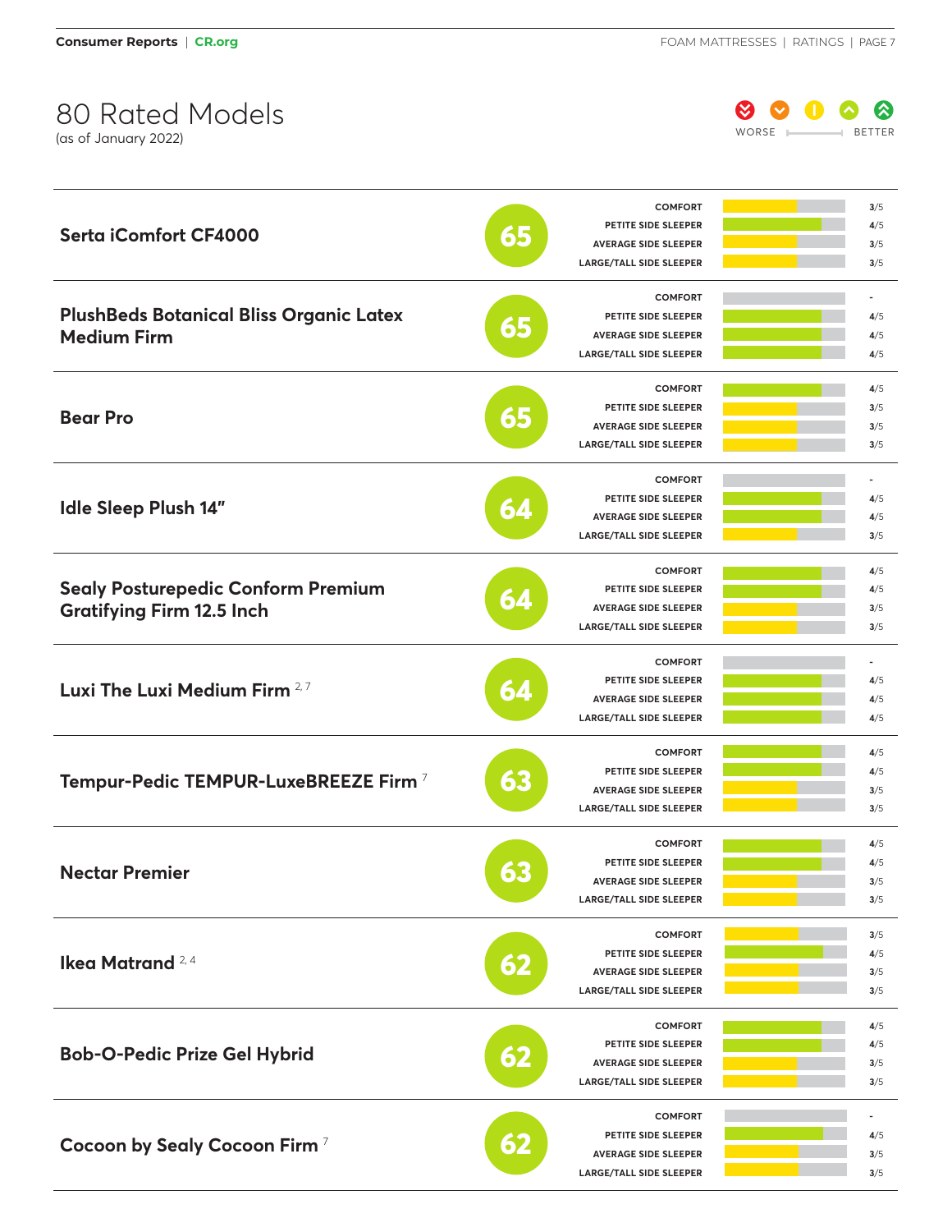

|                                                  |    | <b>COMFORT</b>                 | 3/5            |
|--------------------------------------------------|----|--------------------------------|----------------|
|                                                  |    | PETITE SIDE SLEEPER            | 4/5            |
| <b>Serta iComfort CF4000</b>                     | 65 | <b>AVERAGE SIDE SLEEPER</b>    | 3/5            |
|                                                  |    | <b>LARGE/TALL SIDE SLEEPER</b> | 3/5            |
|                                                  |    | <b>COMFORT</b>                 | ۰              |
| <b>PlushBeds Botanical Bliss Organic Latex</b>   |    | PETITE SIDE SLEEPER            | 4/5            |
| <b>Medium Firm</b>                               | 65 | <b>AVERAGE SIDE SLEEPER</b>    | 4/5            |
|                                                  |    | <b>LARGE/TALL SIDE SLEEPER</b> | 4/5            |
|                                                  |    | <b>COMFORT</b>                 | 4/5            |
|                                                  |    | PETITE SIDE SLEEPER            | 3/5            |
| <b>Bear Pro</b>                                  | 65 | <b>AVERAGE SIDE SLEEPER</b>    | 3/5            |
|                                                  |    | <b>LARGE/TALL SIDE SLEEPER</b> | 3/5            |
|                                                  |    | <b>COMFORT</b>                 | ٠              |
|                                                  |    | PETITE SIDE SLEEPER            | 4/5            |
| <b>Idle Sleep Plush 14"</b>                      | 64 | <b>AVERAGE SIDE SLEEPER</b>    | 4/5            |
|                                                  |    | <b>LARGE/TALL SIDE SLEEPER</b> | 3/5            |
|                                                  |    | <b>COMFORT</b>                 |                |
|                                                  |    | PETITE SIDE SLEEPER            | 4/5            |
| <b>Sealy Posturepedic Conform Premium</b>        | 64 |                                | 4/5            |
| <b>Gratifying Firm 12.5 Inch</b>                 |    | <b>AVERAGE SIDE SLEEPER</b>    | 3/5            |
|                                                  |    | <b>LARGE/TALL SIDE SLEEPER</b> | 3/5            |
|                                                  | 64 | <b>COMFORT</b>                 | $\overline{a}$ |
| Luxi The Luxi Medium Firm 2,7                    |    | PETITE SIDE SLEEPER            | 4/5            |
|                                                  |    | <b>AVERAGE SIDE SLEEPER</b>    | 4/5            |
|                                                  |    | <b>LARGE/TALL SIDE SLEEPER</b> | 4/5            |
|                                                  |    | <b>COMFORT</b>                 | 4/5            |
|                                                  | 63 | PETITE SIDE SLEEPER            | 4/5            |
| Tempur-Pedic TEMPUR-LuxeBREEZE Firm <sup>7</sup> |    | <b>AVERAGE SIDE SLEEPER</b>    | 3/5            |
|                                                  |    | <b>LARGE/TALL SIDE SLEEPER</b> | 3/5            |
|                                                  |    | <b>COMFORT</b>                 | 4/5            |
|                                                  |    | PETITE SIDE SLEEPER            | 4/5            |
| <b>Nectar Premier</b>                            | 63 | <b>AVERAGE SIDE SLEEPER</b>    | 3/5            |
|                                                  |    | <b>LARGE/TALL SIDE SLEEPER</b> | 3/5            |
|                                                  |    | <b>COMFORT</b>                 | 3/5            |
|                                                  |    | PETITE SIDE SLEEPER            | 4/5            |
| Ikea Matrand <sup>2,4</sup>                      | 62 | <b>AVERAGE SIDE SLEEPER</b>    | 3/5            |
|                                                  |    | <b>LARGE/TALL SIDE SLEEPER</b> | 3/5            |
|                                                  |    | <b>COMFORT</b>                 | 4/5            |
|                                                  | 67 | PETITE SIDE SLEEPER            | 4/5            |
| <b>Bob-O-Pedic Prize Gel Hybrid</b>              |    | <b>AVERAGE SIDE SLEEPER</b>    | 3/5            |
|                                                  |    | <b>LARGE/TALL SIDE SLEEPER</b> | 3/5            |
|                                                  |    |                                |                |
|                                                  |    | <b>COMFORT</b>                 |                |
| Cocoon by Sealy Cocoon Firm <sup>7</sup>         | 62 | PETITE SIDE SLEEPER            | 4/5            |
|                                                  |    | <b>AVERAGE SIDE SLEEPER</b>    | 3/5            |
|                                                  |    | <b>LARGE/TALL SIDE SLEEPER</b> | 3/5            |